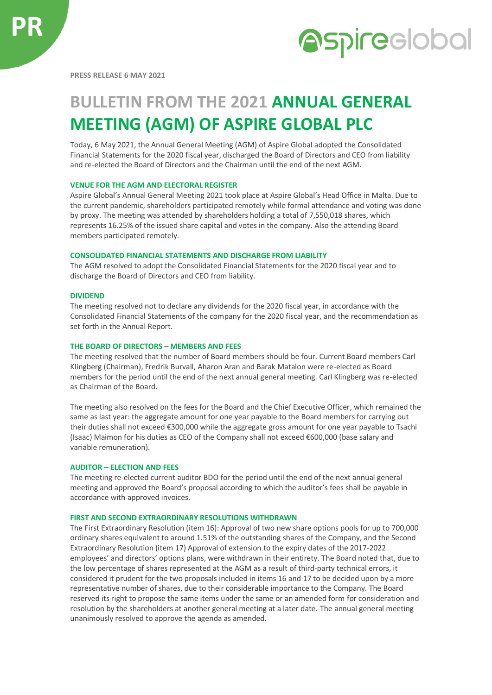

**PRESS RELEASE 6 MAY 2021**

# **BULLETIN FROM THE 2021 ANNUAL GENERAL MEETING (AGM) OF ASPIRE GLOBAL PLC**

Today, 6 May 2021, the Annual General Meeting (AGM) of Aspire Global adopted the Consolidated Financial Statements for the 2020 fiscal year, discharged the Board of Directors and CEO from liability and re-elected the Board of Directors and the Chairman until the end of the next AGM.

## **VENUE FOR THE AGM AND ELECTORAL REGISTER**

Aspire Global's Annual General Meeting 2021 took place at Aspire Global's Head Office in Malta. Due to the current pandemic, shareholders participated remotely while formal attendance and voting was done by proxy. The meeting was attended by shareholders holding a total of 7,550,018 shares, which represents 16.25% of the issued share capital and votes in the company. Also the attending Board members participated remotely.

## **CONSOLIDATED FINANCIAL STATEMENTS AND DISCHARGE FROM LIABILITY**

The AGM resolved to adopt the Consolidated Financial Statements for the 2020 fiscal year and to discharge the Board of Directors and CEO from liability.

### **DIVIDEND**

The meeting resolved not to declare any dividends for the 2020 fiscal year, in accordance with the Consolidated Financial Statements of the company for the 2020 fiscal year, and the recommendation as set forth in the Annual Report.

#### **THE BOARD OF DIRECTORS – MEMBERS AND FEES**

The meeting resolved that the number of Board members should be four. Current Board members Carl Klingberg (Chairman), Fredrik Burvall, Aharon Aran and Barak Matalon were re-elected as Board members for the period until the end of the next annual general meeting. Carl Klingberg was re-elected as Chairman of the Board.

The meeting also resolved on the fees for the Board and the Chief Executive Officer, which remained the same as last year: the aggregate amount for one year payable to the Board members for carrying out their duties shall not exceed €300,000 while the aggregate gross amount for one year payable to Tsachi (Isaac) Maimon for his duties as CEO of the Company shall not exceed €600,000 (base salary and variable remuneration).

## **AUDITOR – ELECTION AND FEES**

The meeting re-elected current auditor BDO for the period until the end of the next annual general meeting and approved the Board's proposal according to which the auditor's fees shall be payable in accordance with approved invoices.

## **FIRST AND SECOND EXTRAORDINARY RESOLUTIONS WITHDRAWN**

The First Extraordinary Resolution (item 16): Approval of two new share options pools for up to 700,000 ordinary shares equivalent to around 1.51% of the outstanding shares of the Company, and the Second Extraordinary Resolution (item 17) Approval of extension to the expiry dates of the 2017-2022 employees' and directors' options plans, were withdrawn in their entirety. The Board noted that, due to the low percentage of shares represented at the AGM as a result of third-party technical errors, it considered it prudent for the two proposals included in items 16 and 17 to be decided upon by a more representative number of shares, due to their considerable importance to the Company. The Board reserved its right to propose the same items under the same or an amended form for consideration and resolution by the shareholders at another general meeting at a later date. The annual general meeting unanimously resolved to approve the agenda as amended.